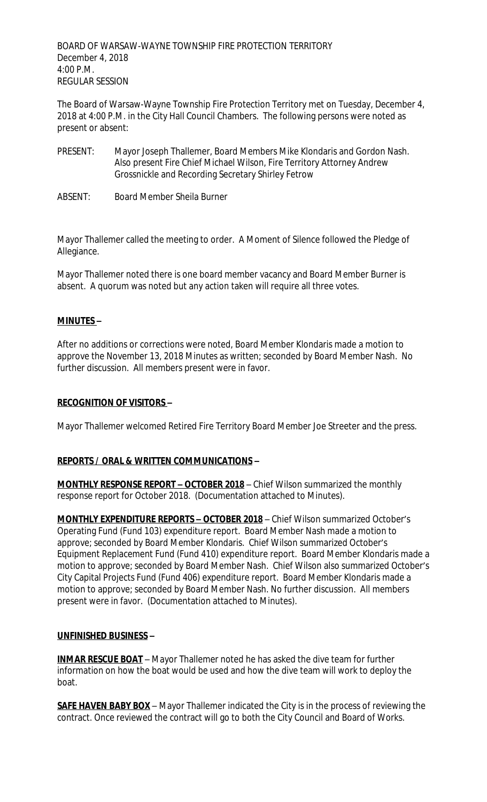BOARD OF WARSAW-WAYNE TOWNSHIP FIRE PROTECTION TERRITORY December 4, 2018 4:00 P.M. REGULAR SESSION

The Board of Warsaw-Wayne Township Fire Protection Territory met on Tuesday, December 4, 2018 at 4:00 P.M. in the City Hall Council Chambers. The following persons were noted as present or absent:

- PRESENT: Mayor Joseph Thallemer, Board Members Mike Klondaris and Gordon Nash. Also present Fire Chief Michael Wilson, Fire Territory Attorney Andrew Grossnickle and Recording Secretary Shirley Fetrow
- ABSENT: Board Member Sheila Burner

Mayor Thallemer called the meeting to order. A Moment of Silence followed the Pledge of Allegiance.

Mayor Thallemer noted there is one board member vacancy and Board Member Burner is absent. A quorum was noted but any action taken will require all three votes.

# **MINUTES –**

After no additions or corrections were noted, Board Member Klondaris made a motion to approve the November 13, 2018 Minutes as written; seconded by Board Member Nash. No further discussion. All members present were in favor.

## **RECOGNITION OF VISITORS –**

Mayor Thallemer welcomed Retired Fire Territory Board Member Joe Streeter and the press.

### **REPORTS / ORAL & WRITTEN COMMUNICATIONS –**

**MONTHLY RESPONSE REPORT – OCTOBER 2018** – Chief Wilson summarized the monthly response report for October 2018. (Documentation attached to Minutes).

**MONTHLY EXPENDITURE REPORTS – OCTOBER 2018** – Chief Wilson summarized October's Operating Fund (Fund 103) expenditure report. Board Member Nash made a motion to approve; seconded by Board Member Klondaris. Chief Wilson summarized October's Equipment Replacement Fund (Fund 410) expenditure report. Board Member Klondaris made a motion to approve; seconded by Board Member Nash. Chief Wilson also summarized October's City Capital Projects Fund (Fund 406) expenditure report. Board Member Klondaris made a motion to approve; seconded by Board Member Nash. No further discussion. All members present were in favor. (Documentation attached to Minutes).

### **UNFINISHED BUSINESS –**

**INMAR RESCUE BOAT** – Mayor Thallemer noted he has asked the dive team for further information on how the boat would be used and how the dive team will work to deploy the boat.

**SAFE HAVEN BABY BOX** – Mayor Thallemer indicated the City is in the process of reviewing the contract. Once reviewed the contract will go to both the City Council and Board of Works.